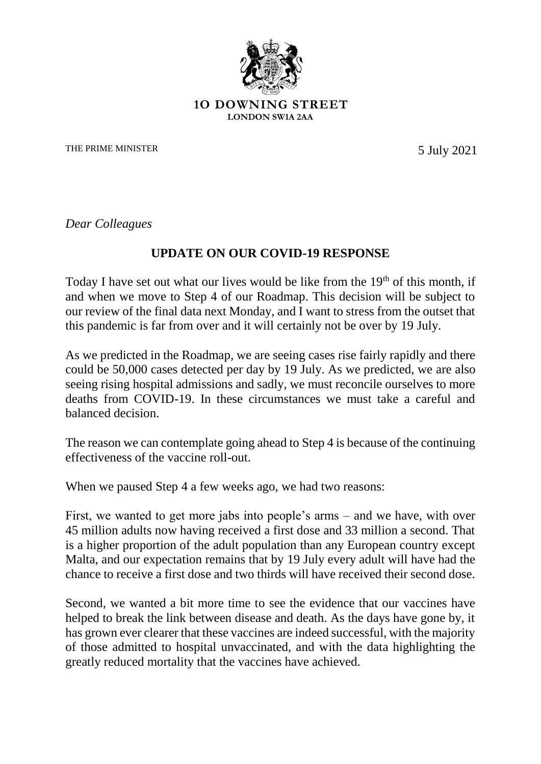

## **1O DOWNING STREET LONDON SW1A 2AA**

THE PRIME MINISTER 5 July 2021

*Dear Colleagues*

## **UPDATE ON OUR COVID-19 RESPONSE**

Today I have set out what our lives would be like from the  $19<sup>th</sup>$  of this month, if and when we move to Step 4 of our Roadmap. This decision will be subject to our review of the final data next Monday, and I want to stress from the outset that this pandemic is far from over and it will certainly not be over by 19 July.

As we predicted in the Roadmap, we are seeing cases rise fairly rapidly and there could be 50,000 cases detected per day by 19 July. As we predicted, we are also seeing rising hospital admissions and sadly, we must reconcile ourselves to more deaths from COVID-19. In these circumstances we must take a careful and balanced decision.

The reason we can contemplate going ahead to Step 4 is because of the continuing effectiveness of the vaccine roll-out.

When we paused Step 4 a few weeks ago, we had two reasons:

First, we wanted to get more jabs into people's arms – and we have, with over 45 million adults now having received a first dose and 33 million a second. That is a higher proportion of the adult population than any European country except Malta, and our expectation remains that by 19 July every adult will have had the chance to receive a first dose and two thirds will have received their second dose.

Second, we wanted a bit more time to see the evidence that our vaccines have helped to break the link between disease and death. As the days have gone by, it has grown ever clearer that these vaccines are indeed successful, with the majority of those admitted to hospital unvaccinated, and with the data highlighting the greatly reduced mortality that the vaccines have achieved.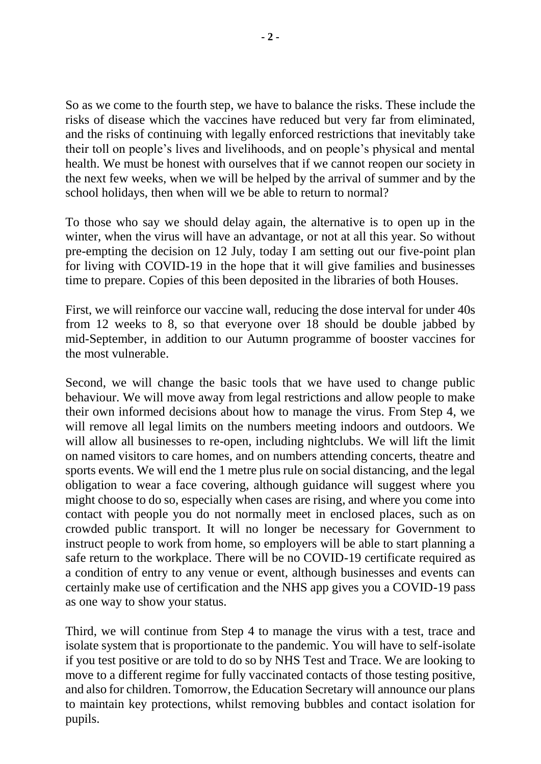So as we come to the fourth step, we have to balance the risks. These include the risks of disease which the vaccines have reduced but very far from eliminated, and the risks of continuing with legally enforced restrictions that inevitably take their toll on people's lives and livelihoods, and on people's physical and mental health. We must be honest with ourselves that if we cannot reopen our society in the next few weeks, when we will be helped by the arrival of summer and by the school holidays, then when will we be able to return to normal?

To those who say we should delay again, the alternative is to open up in the winter, when the virus will have an advantage, or not at all this year. So without pre-empting the decision on 12 July, today I am setting out our five-point plan for living with COVID-19 in the hope that it will give families and businesses time to prepare. Copies of this been deposited in the libraries of both Houses.

First, we will reinforce our vaccine wall, reducing the dose interval for under 40s from 12 weeks to 8, so that everyone over 18 should be double jabbed by mid-September, in addition to our Autumn programme of booster vaccines for the most vulnerable.

Second, we will change the basic tools that we have used to change public behaviour. We will move away from legal restrictions and allow people to make their own informed decisions about how to manage the virus. From Step 4, we will remove all legal limits on the numbers meeting indoors and outdoors. We will allow all businesses to re-open, including nightclubs. We will lift the limit on named visitors to care homes, and on numbers attending concerts, theatre and sports events. We will end the 1 metre plus rule on social distancing, and the legal obligation to wear a face covering, although guidance will suggest where you might choose to do so, especially when cases are rising, and where you come into contact with people you do not normally meet in enclosed places, such as on crowded public transport. It will no longer be necessary for Government to instruct people to work from home, so employers will be able to start planning a safe return to the workplace. There will be no COVID-19 certificate required as a condition of entry to any venue or event, although businesses and events can certainly make use of certification and the NHS app gives you a COVID-19 pass as one way to show your status.

Third, we will continue from Step 4 to manage the virus with a test, trace and isolate system that is proportionate to the pandemic. You will have to self-isolate if you test positive or are told to do so by NHS Test and Trace. We are looking to move to a different regime for fully vaccinated contacts of those testing positive, and also for children. Tomorrow, the Education Secretary will announce our plans to maintain key protections, whilst removing bubbles and contact isolation for pupils.